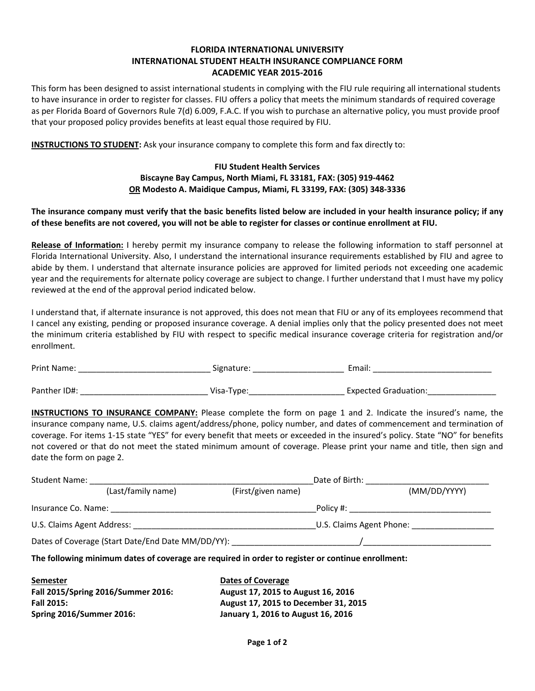## **FLORIDA INTERNATIONAL UNIVERSITY INTERNATIONAL STUDENT HEALTH INSURANCE COMPLIANCE FORM ACADEMIC YEAR 2015‐2016**

This form has been designed to assist international students in complying with the FIU rule requiring all international students to have insurance in order to register for classes. FIU offers a policy that meets the minimum standards of required coverage as per Florida Board of Governors Rule 7(d) 6.009, F.A.C. If you wish to purchase an alternative policy, you must provide proof that your proposed policy provides benefits at least equal those required by FIU.

**INSTRUCTIONS TO STUDENT:** Ask your insurance company to complete this form and fax directly to:

## **FIU Student Health Services Biscayne Bay Campus, North Miami, FL 33181, FAX: (305) 919‐4462 OR Modesto A. Maidique Campus, Miami, FL 33199, FAX: (305) 348‐3336**

The insurance company must verify that the basic benefits listed below are included in your health insurance policy; if any of these benefits are not covered, you will not be able to register for classes or continue enrollment at FIU.

**Release of Information:** I hereby permit my insurance company to release the following information to staff personnel at Florida International University. Also, I understand the international insurance requirements established by FIU and agree to abide by them. I understand that alternate insurance policies are approved for limited periods not exceeding one academic year and the requirements for alternate policy coverage are subject to change. I further understand that I must have my policy reviewed at the end of the approval period indicated below.

I understand that, if alternate insurance is not approved, this does not mean that FIU or any of its employees recommend that I cancel any existing, pending or proposed insurance coverage. A denial implies only that the policy presented does not meet the minimum criteria established by FIU with respect to specific medical insurance coverage criteria for registration and/or enrollment.

| <b>Print Name:</b> | Signature: | Email:                      |  |
|--------------------|------------|-----------------------------|--|
|                    |            |                             |  |
| Panther ID#:       | Visa-Type: | <b>Expected Graduation:</b> |  |

**INSTRUCTIONS TO INSURANCE COMPANY:** Please complete the form on page 1 and 2. Indicate the insured's name, the insurance company name, U.S. claims agent/address/phone, policy number, and dates of commencement and termination of coverage. For items 1‐15 state "YES" for every benefit that meets or exceeded in the insured's policy. State "NO" for benefits not covered or that do not meet the stated minimum amount of coverage. Please print your name and title, then sign and date the form on page 2.

| <b>Student Name:</b>       |                                                   |                    | Date of Birth:           |              |
|----------------------------|---------------------------------------------------|--------------------|--------------------------|--------------|
|                            | (Last/family name)                                | (First/given name) |                          | (MM/DD/YYYY) |
| Insurance Co. Name:        |                                                   |                    | Policy #:                |              |
| U.S. Claims Agent Address: |                                                   |                    | U.S. Claims Agent Phone: |              |
|                            | Dates of Coverage (Start Date/End Date MM/DD/YY): |                    |                          |              |

**The following minimum dates of coverage are required in order to register or continue enrollment:**

**Semester Dates of Coverage Fall 2015/Spring 2016/Summer 2016: August 17, 2015 to August 16, 2016 Spring 2016/Summer 2016: January 1, 2016 to August 16, 2016**

**Fall 2015: August 17, 2015 to December 31, 2015**